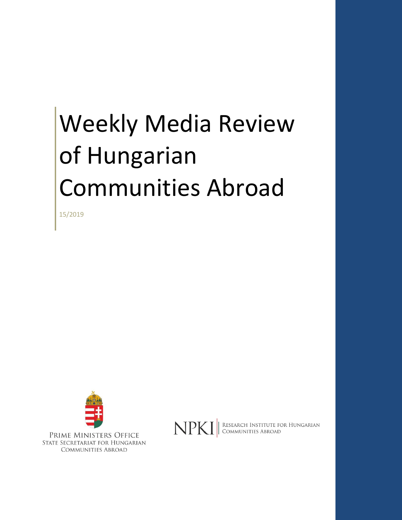# Weekly Media Review of Hungarian Communities Abroad

15/2019



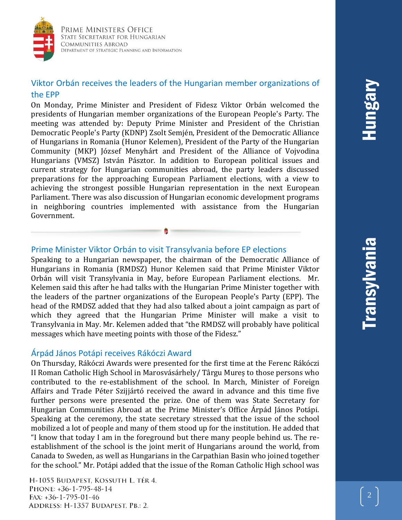

# Viktor Orbán receives the leaders of the Hungarian member organizations of the EPP

On Monday, Prime Minister and President of Fidesz Viktor Orbán welcomed the presidents of Hungarian member organizations of the European People's Party. The meeting was attended by: Deputy Prime Minister and President of the Christian Democratic People's Party (KDNP) Zsolt Semjén, President of the Democratic Alliance of Hungarians in Romania (Hunor Kelemen), President of the Party of the Hungarian Community (MKP) József Menyhárt and President of the Alliance of Vojvodina Hungarians (VMSZ) István Pásztor. In addition to European political issues and current strategy for Hungarian communities abroad, the party leaders discussed preparations for the approaching European Parliament elections, with a view to achieving the strongest possible Hungarian representation in the next European Parliament. There was also discussion of Hungarian economic development programs in neighboring countries implemented with assistance from the Hungarian Government.

#### Prime Minister Viktor Orbán to visit Transylvania before EP elections

Speaking to a Hungarian newspaper, the chairman of the Democratic Alliance of Hungarians in Romania (RMDSZ) Hunor Kelemen said that Prime Minister Viktor Orbán will visit Transylvania in May, before European Parliament elections. Mr. Kelemen said this after he had talks with the Hungarian Prime Minister together with the leaders of the partner organizations of the European People's Party (EPP). The head of the RMDSZ added that they had also talked about a joint campaign as part of which they agreed that the Hungarian Prime Minister will make a visit to Transylvania in May. Mr. Kelemen added that "the RMDSZ will probably have political messages which have meeting points with those of the Fidesz."

#### Árpád János Potápi receives Rákóczi Award

On Thursday, Rákóczi Awards were presented for the first time at the Ferenc Rákóczi II Roman Catholic High School in Marosvásárhely/ Târgu Mureș to those persons who contributed to the re-establishment of the school. In March, Minister of Foreign Affairs and Trade Péter Szijjártó received the award in advance and this time five further persons were presented the prize. One of them was State Secretary for Hungarian Communities Abroad at the Prime Minister's Office Árpád János Potápi. Speaking at the ceremony, the state secretary stressed that the issue of the school mobilized a lot of people and many of them stood up for the institution. He added that "I know that today I am in the foreground but there many people behind us. The reestablishment of the school is the joint merit of Hungarians around the world, from Canada to Sweden, as well as Hungarians in the Carpathian Basin who joined together for the school." Mr. Potápi added that the issue of the Roman Catholic High school was

H-1055 BUDAPEST, KOSSUTH L. TÉR 4. PHONE: +36-1-795-48-14 FAX:  $+36-1-795-01-46$ ADDRESS: H-1357 BUDAPEST, PB.: 2.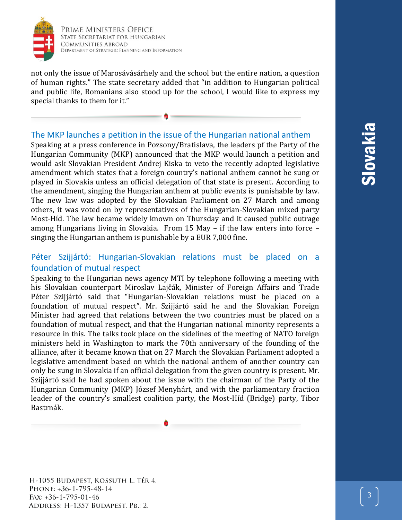

Prime Ministers Office STATE SECRETARIAT FOR HUNGARIAN **COMMUNITIES ABROAD** DEPARTMENT OF STRATEGIC PLANNING AND INFORMATION

not only the issue of Marosávásárhely and the school but the entire nation, a question of human rights." The state secretary added that "in addition to Hungarian political and public life, Romanians also stood up for the school, I would like to express my special thanks to them for it."

## The MKP launches a petition in the issue of the Hungarian national anthem

Speaking at a press conference in Pozsony/Bratislava, the leaders pf the Party of the Hungarian Community (MKP) announced that the MKP would launch a petition and would ask Slovakian President Andrej Kiska to veto the recently adopted legislative amendment which states that a foreign country's national anthem cannot be sung or played in Slovakia unless an official delegation of that state is present. According to the amendment, singing the Hungarian anthem at public events is punishable by law. The new law was adopted by the Slovakian Parliament on 27 March and among others, it was voted on by representatives of the Hungarian-Slovakian mixed party Most-Híd. The law became widely known on Thursday and it caused public outrage among Hungarians living in Slovakia. From 15 May – if the law enters into force – singing the Hungarian anthem is punishable by a EUR 7,000 fine.

# Péter Szijjártó: Hungarian-Slovakian relations must be placed on a foundation of mutual respect

Speaking to the Hungarian news agency MTI by telephone following a meeting with his Slovakian counterpart Miroslav Lajčák, Minister of Foreign Affairs and Trade Péter Szijjártó said that "Hungarian-Slovakian relations must be placed on a foundation of mutual respect". Mr. Szijjártó said he and the Slovakian Foreign Minister had agreed that relations between the two countries must be placed on a foundation of mutual respect, and that the Hungarian national minority represents a resource in this. The talks took place on the sidelines of the meeting of NATO foreign ministers held in Washington to mark the 70th anniversary of the founding of the alliance, after it became known that on 27 March the Slovakian Parliament adopted a legislative amendment based on which the national anthem of another country can only be sung in Slovakia if an official delegation from the given country is present. Mr. Szijjártó said he had spoken about the issue with the chairman of the Party of the Hungarian Community (MKP) József Menyhárt, and with the parliamentary fraction leader of the country's smallest coalition party, the Most-Híd (Bridge) party, Tibor Bastrnák.

H-1055 BUDAPEST, KOSSUTH L. TÉR 4. PHONE: +36-1-795-48-14  $FAX: +36-1-795-01-46$ ADDRESS: H-1357 BUDAPEST, PB.: 2.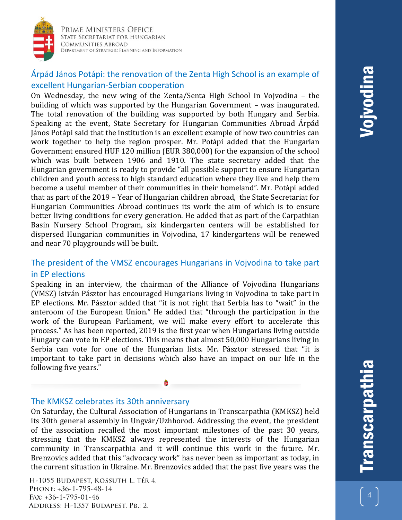

Prime Ministers Office STATE SECRETARIAT FOR HUNGARIAN **COMMUNITIES ABROAD** DEPARTMENT OF STRATEGIC PLANNING AND INFORMATION

# Árpád János Potápi: the renovation of the Zenta High School is an example of excellent Hungarian-Serbian cooperation

On Wednesday, the new wing of the Zenta/Senta High School in Vojvodina – the building of which was supported by the Hungarian Government – was inaugurated. The total renovation of the building was supported by both Hungary and Serbia. Speaking at the event, State Secretary for Hungarian Communities Abroad Árpád János Potápi said that the institution is an excellent example of how two countries can work together to help the region prosper. Mr. Potápi added that the Hungarian Government ensured HUF 120 million (EUR 380,000) for the expansion of the school which was built between 1906 and 1910. The state secretary added that the Hungarian government is ready to provide "all possible support to ensure Hungarian children and youth access to high standard education where they live and help them become a useful member of their communities in their homeland". Mr. Potápi added that as part of the 2019 – Year of Hungarian children abroad, the State Secretariat for Hungarian Communities Abroad continues its work the aim of which is to ensure better living conditions for every generation. He added that as part of the Carpathian Basin Nursery School Program, six kindergarten centers will be established for dispersed Hungarian communities in Vojvodina, 17 kindergartens will be renewed and near 70 playgrounds will be built.

# The president of the VMSZ encourages Hungarians in Vojvodina to take part in EP elections

Speaking in an interview, the chairman of the Alliance of Vojvodina Hungarians (VMSZ) István Pásztor has encouraged Hungarians living in Vojvodina to take part in EP elections. Mr. Pásztor added that "it is not right that Serbia has to "wait" in the anteroom of the European Union." He added that "through the participation in the work of the European Parliament, we will make every effort to accelerate this process." As has been reported, 2019 is the first year when Hungarians living outside Hungary can vote in EP elections. This means that almost 50,000 Hungarians living in Serbia can vote for one of the Hungarian lists. Mr. Pásztor stressed that "it is important to take part in decisions which also have an impact on our life in the following five years."

#### The KMKSZ celebrates its 30th anniversary

On Saturday, the Cultural Association of Hungarians in Transcarpathia (KMKSZ) held its 30th general assembly in Ungvár/Uzhhorod. Addressing the event, the president of the association recalled the most important milestones of the past 30 years, stressing that the KMKSZ always represented the interests of the Hungarian community in Transcarpathia and it will continue this work in the future. Mr. Brenzovics added that this "advocacy work" has never been as important as today, in the current situation in Ukraine. Mr. Brenzovics added that the past five years was the

H-1055 BUDAPEST, KOSSUTH L. TÉR 4. PHONE: +36-1-795-48-14  $FAX: +36-1-795-01-46$ ADDRESS: H-1357 BUDAPEST, PB.: 2.

4